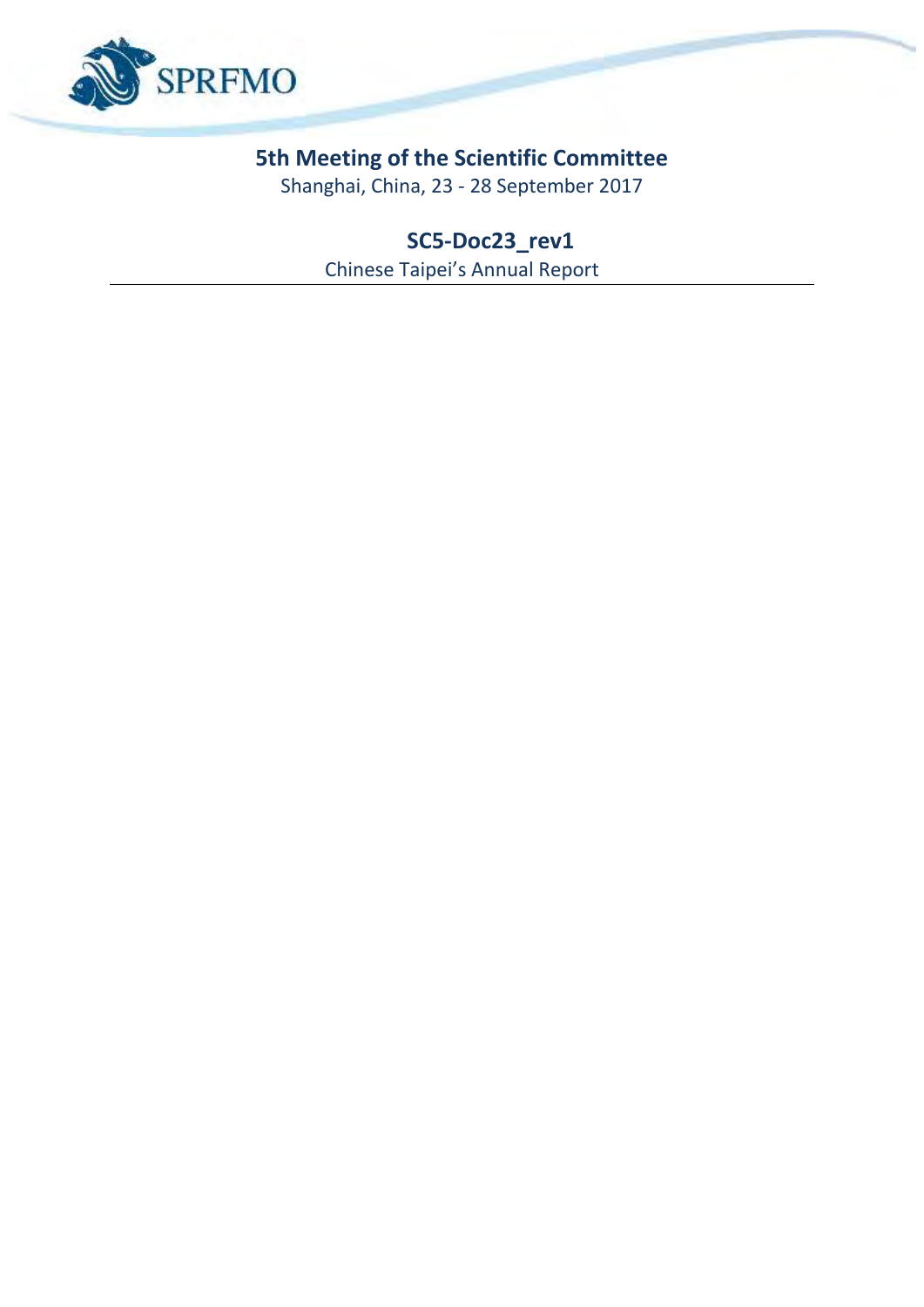

# **5th Meeting of the Scientific Committee**

Shanghai, China, 23 - 28 September 2017

**SC5-Doc23\_rev1** Chinese Taipei's Annual Report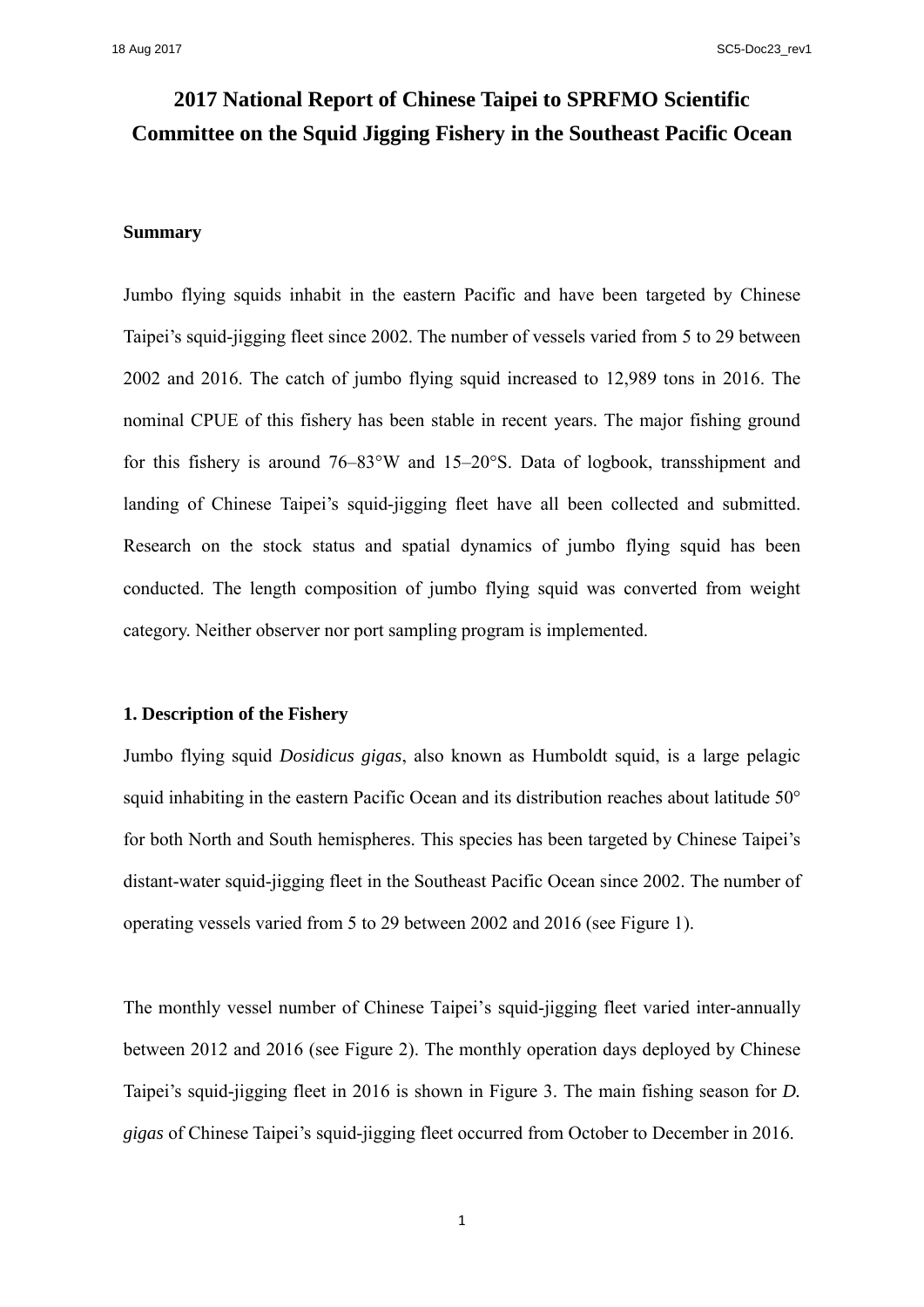## **2017 National Report of Chinese Taipei to SPRFMO Scientific Committee on the Squid Jigging Fishery in the Southeast Pacific Ocean**

### **Summary**

Jumbo flying squids inhabit in the eastern Pacific and have been targeted by Chinese Taipei's squid-jigging fleet since 2002. The number of vessels varied from 5 to 29 between 2002 and 2016. The catch of jumbo flying squid increased to 12,989 tons in 2016. The nominal CPUE of this fishery has been stable in recent years. The major fishing ground for this fishery is around 76–83°W and 15–20°S. Data of logbook, transshipment and landing of Chinese Taipei's squid-jigging fleet have all been collected and submitted. Research on the stock status and spatial dynamics of jumbo flying squid has been conducted. The length composition of jumbo flying squid was converted from weight category. Neither observer nor port sampling program is implemented.

#### **1. Description of the Fishery**

Jumbo flying squid *Dosidicus gigas*, also known as Humboldt squid, is a large pelagic squid inhabiting in the eastern Pacific Ocean and its distribution reaches about latitude 50° for both North and South hemispheres. This species has been targeted by Chinese Taipei's distant-water squid-jigging fleet in the Southeast Pacific Ocean since 2002. The number of operating vessels varied from 5 to 29 between 2002 and 2016 (see Figure 1).

The monthly vessel number of Chinese Taipei's squid-jigging fleet varied inter-annually between 2012 and 2016 (see Figure 2). The monthly operation days deployed by Chinese Taipei's squid-jigging fleet in 2016 is shown in Figure 3. The main fishing season for *D. gigas* of Chinese Taipei's squid-jigging fleet occurred from October to December in 2016.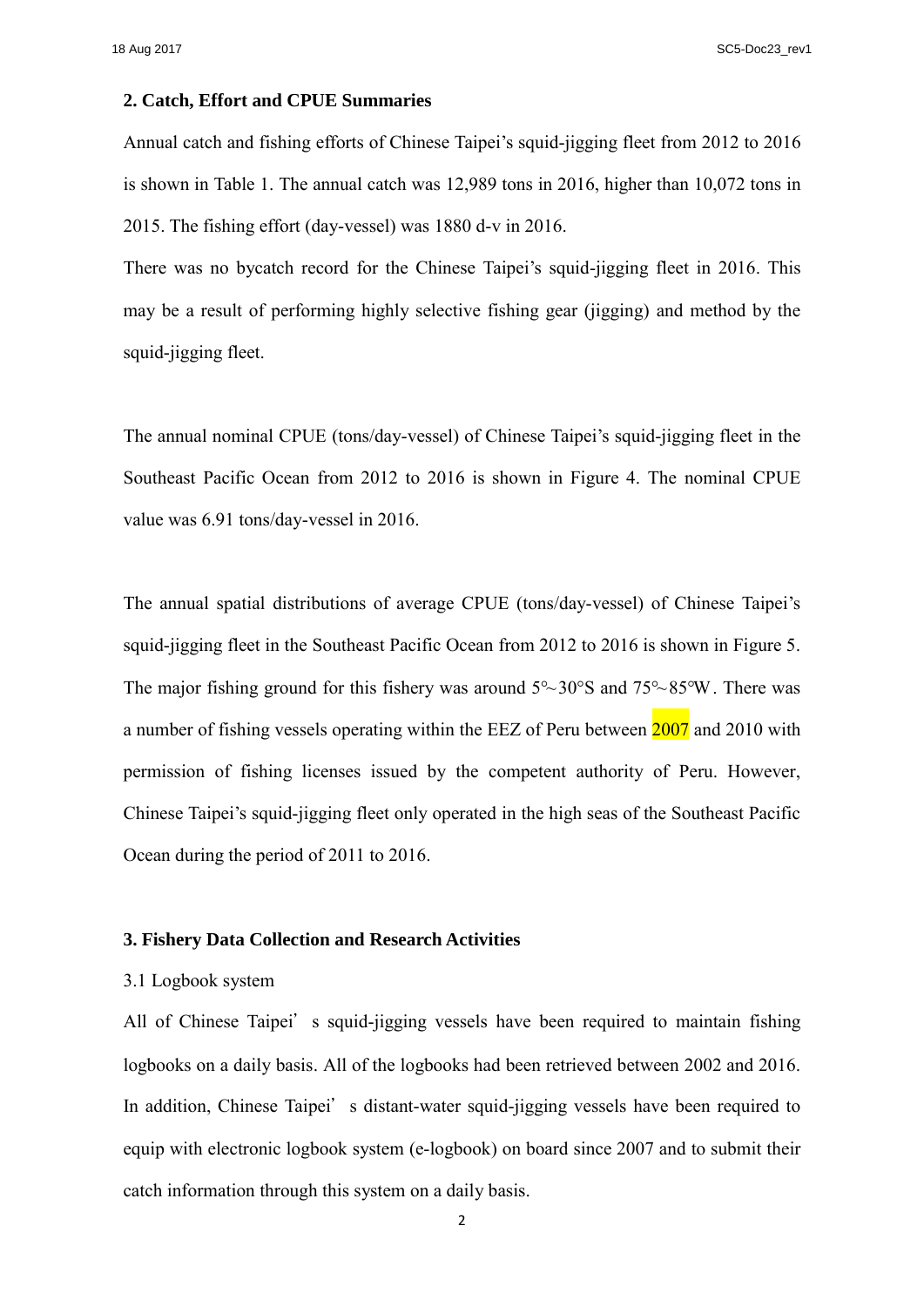18 Aug 2017 SC5-Doc23\_rev1

#### **2. Catch, Effort and CPUE Summaries**

Annual catch and fishing efforts of Chinese Taipei's squid-jigging fleet from 2012 to 2016 is shown in Table 1. The annual catch was 12,989 tons in 2016, higher than 10,072 tons in 2015. The fishing effort (day-vessel) was 1880 d-v in 2016.

There was no bycatch record for the Chinese Taipei's squid-jigging fleet in 2016. This may be a result of performing highly selective fishing gear (jigging) and method by the squid-jigging fleet.

The annual nominal CPUE (tons/day-vessel) of Chinese Taipei's squid-jigging fleet in the Southeast Pacific Ocean from 2012 to 2016 is shown in Figure 4. The nominal CPUE value was 6.91 tons/day-vessel in 2016.

The annual spatial distributions of average CPUE (tons/day-vessel) of Chinese Taipei's squid-jigging fleet in the Southeast Pacific Ocean from 2012 to 2016 is shown in Figure 5. The major fishing ground for this fishery was around  $5^{\circ}$  30°S and  $75^{\circ}$  85°W. There was a number of fishing vessels operating within the EEZ of Peru between 2007 and 2010 with permission of fishing licenses issued by the competent authority of Peru. However, Chinese Taipei's squid-jigging fleet only operated in the high seas of the Southeast Pacific Ocean during the period of 2011 to 2016.

#### **3. Fishery Data Collection and Research Activities**

#### 3.1 Logbook system

All of Chinese Taipei's squid-jigging vessels have been required to maintain fishing logbooks on a daily basis. All of the logbooks had been retrieved between 2002 and 2016. In addition, Chinese Taipei's distant-water squid-jigging vessels have been required to equip with electronic logbook system (e-logbook) on board since 2007 and to submit their catch information through this system on a daily basis.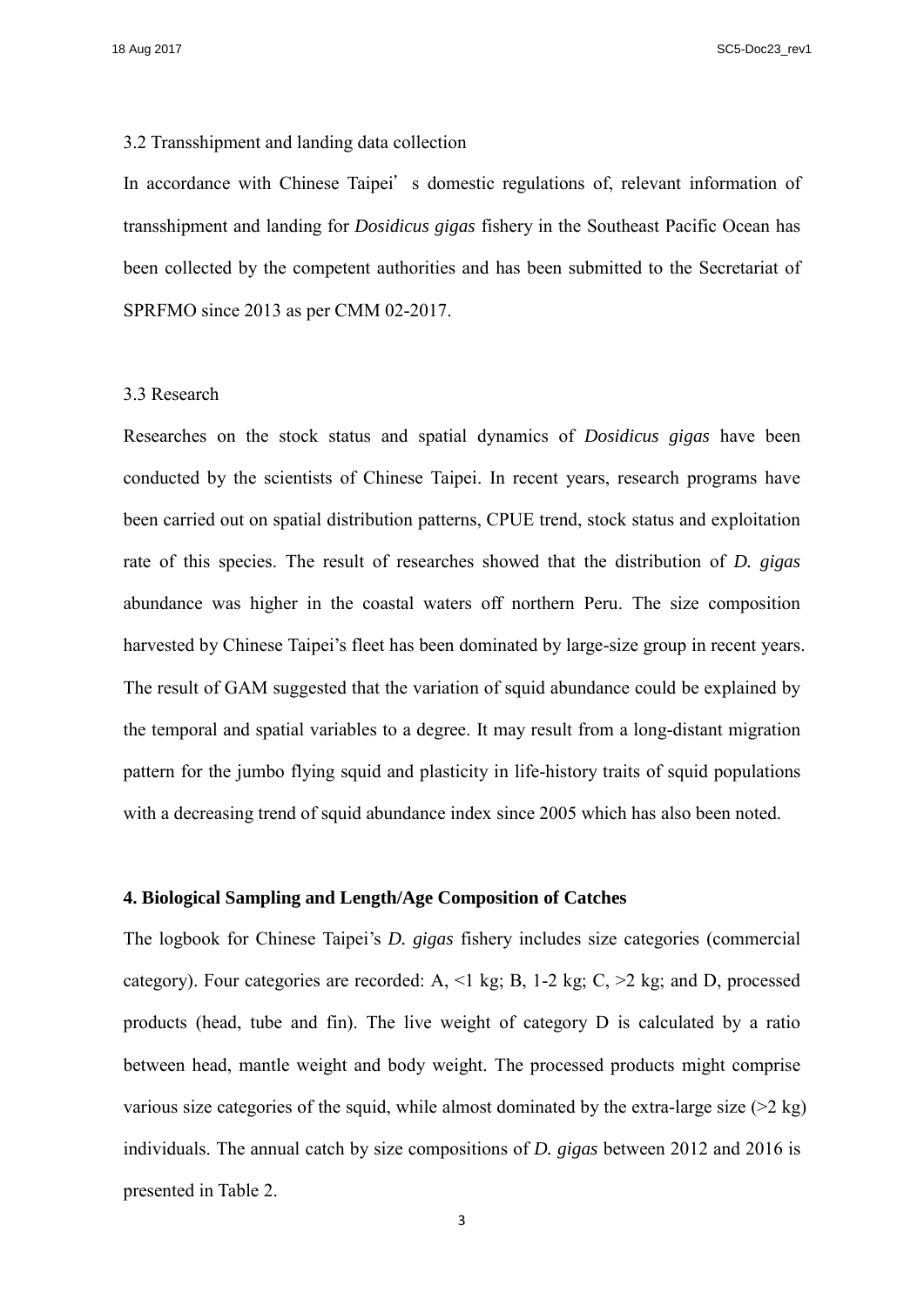18 Aug 2017 SC5-Doc23\_rev1

#### 3.2 Transshipment and landing data collection

In accordance with Chinese Taipei's domestic regulations of, relevant information of transshipment and landing for *Dosidicus gigas* fishery in the Southeast Pacific Ocean has been collected by the competent authorities and has been submitted to the Secretariat of SPRFMO since 2013 as per CMM 02-2017.

#### 3.3 Research

Researches on the stock status and spatial dynamics of *Dosidicus gigas* have been conducted by the scientists of Chinese Taipei. In recent years, research programs have been carried out on spatial distribution patterns, CPUE trend, stock status and exploitation rate of this species. The result of researches showed that the distribution of *D. gigas* abundance was higher in the coastal waters off northern Peru. The size composition harvested by Chinese Taipei's fleet has been dominated by large-size group in recent years. The result of GAM suggested that the variation of squid abundance could be explained by the temporal and spatial variables to a degree. It may result from a long-distant migration pattern for the jumbo flying squid and plasticity in life-history traits of squid populations with a decreasing trend of squid abundance index since 2005 which has also been noted.

#### **4. Biological Sampling and Length/Age Composition of Catches**

The logbook for Chinese Taipei's *D. gigas* fishery includes size categories (commercial category). Four categories are recorded: A,  $\leq 1$  kg; B, 1-2 kg; C,  $\geq 2$  kg; and D, processed products (head, tube and fin). The live weight of category D is calculated by a ratio between head, mantle weight and body weight. The processed products might comprise various size categories of the squid, while almost dominated by the extra-large size  $(22 \text{ kg})$ individuals. The annual catch by size compositions of *D. gigas* between 2012 and 2016 is presented in Table 2.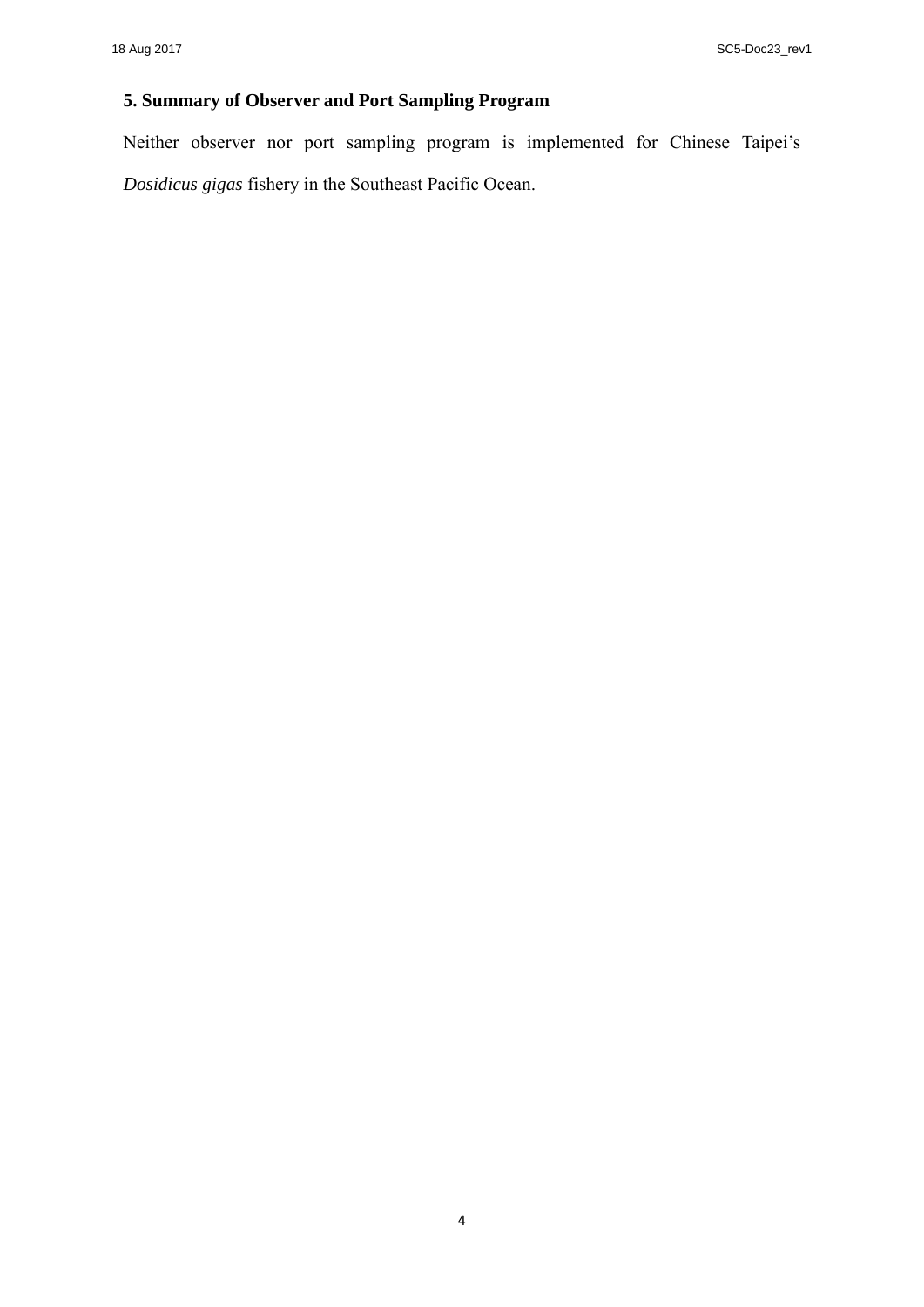### **5. Summary of Observer and Port Sampling Program**

Neither observer nor port sampling program is implemented for Chinese Taipei's *Dosidicus gigas* fishery in the Southeast Pacific Ocean.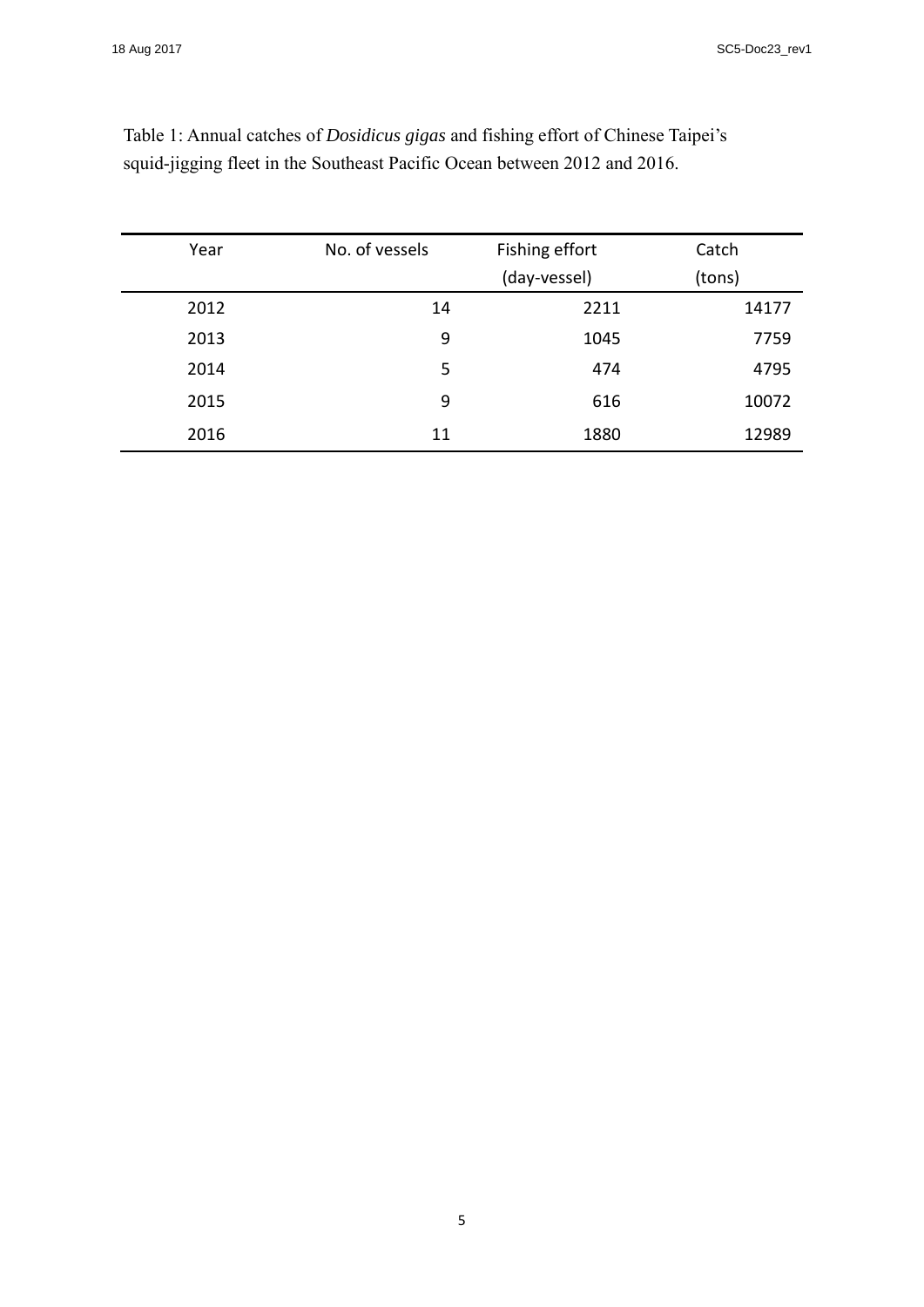| Year | No. of vessels | Fishing effort | Catch  |
|------|----------------|----------------|--------|
|      |                | (day-vessel)   | (tons) |
| 2012 | 14             | 2211           | 14177  |
| 2013 | 9              | 1045           | 7759   |
| 2014 | 5              | 474            | 4795   |
| 2015 | 9              | 616            | 10072  |
| 2016 | 11             | 1880           | 12989  |

Table 1: Annual catches of *Dosidicus gigas* and fishing effort of Chinese Taipei's squid-jigging fleet in the Southeast Pacific Ocean between 2012 and 2016.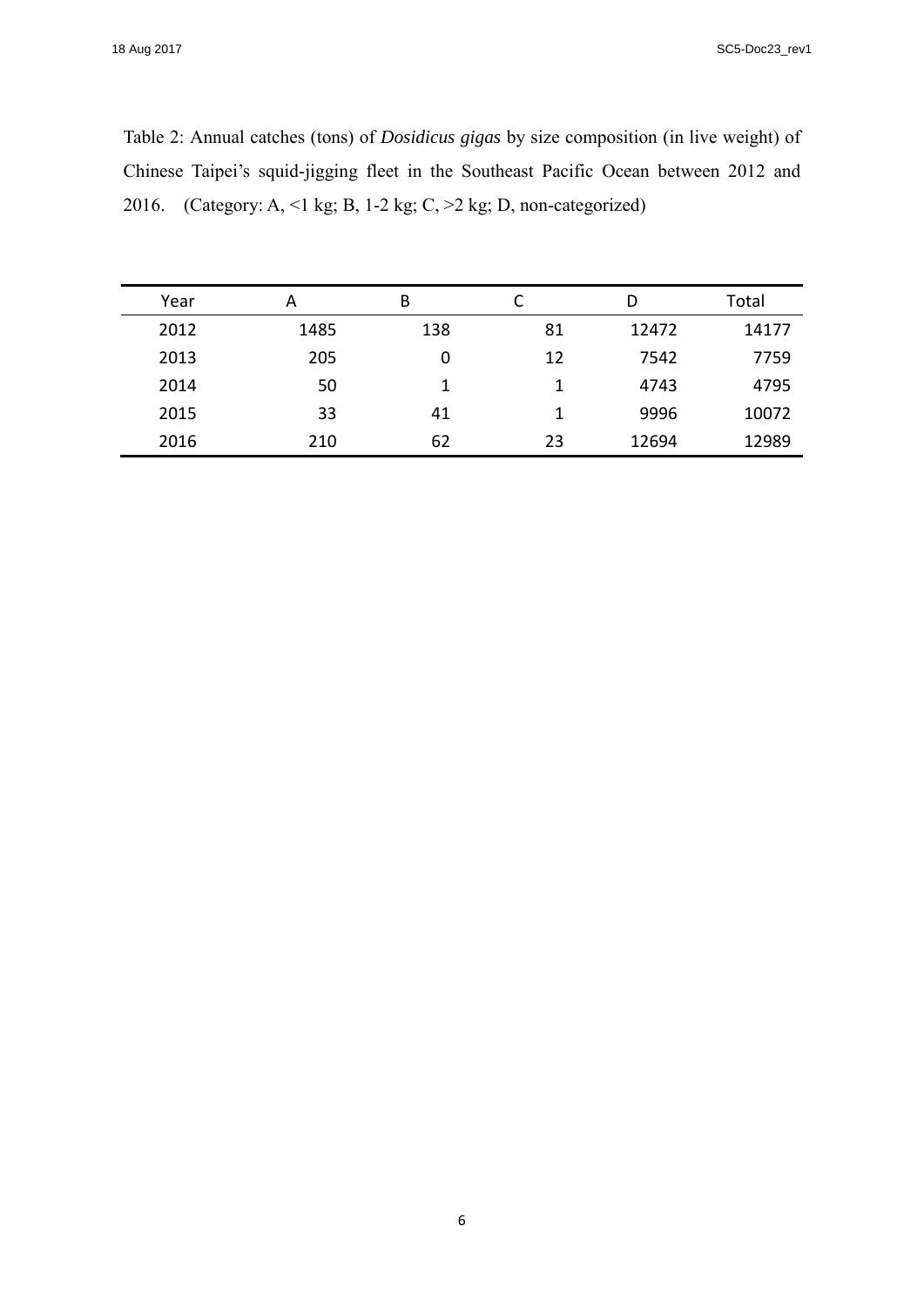#### 18 Aug 2017 SC5-Doc23\_rev1

Table 2: Annual catches (tons) of *Dosidicus gigas* by size composition (in live weight) of Chinese Taipei's squid-jigging fleet in the Southeast Pacific Ocean between 2012 and 2016. (Category: A, <1 kg; B, 1-2 kg; C, >2 kg; D, non-categorized)

| Year | А    | B   |    | D     | Total |
|------|------|-----|----|-------|-------|
| 2012 | 1485 | 138 | 81 | 12472 | 14177 |
| 2013 | 205  | 0   | 12 | 7542  | 7759  |
| 2014 | 50   |     |    | 4743  | 4795  |
| 2015 | 33   | 41  |    | 9996  | 10072 |
| 2016 | 210  | 62  | 23 | 12694 | 12989 |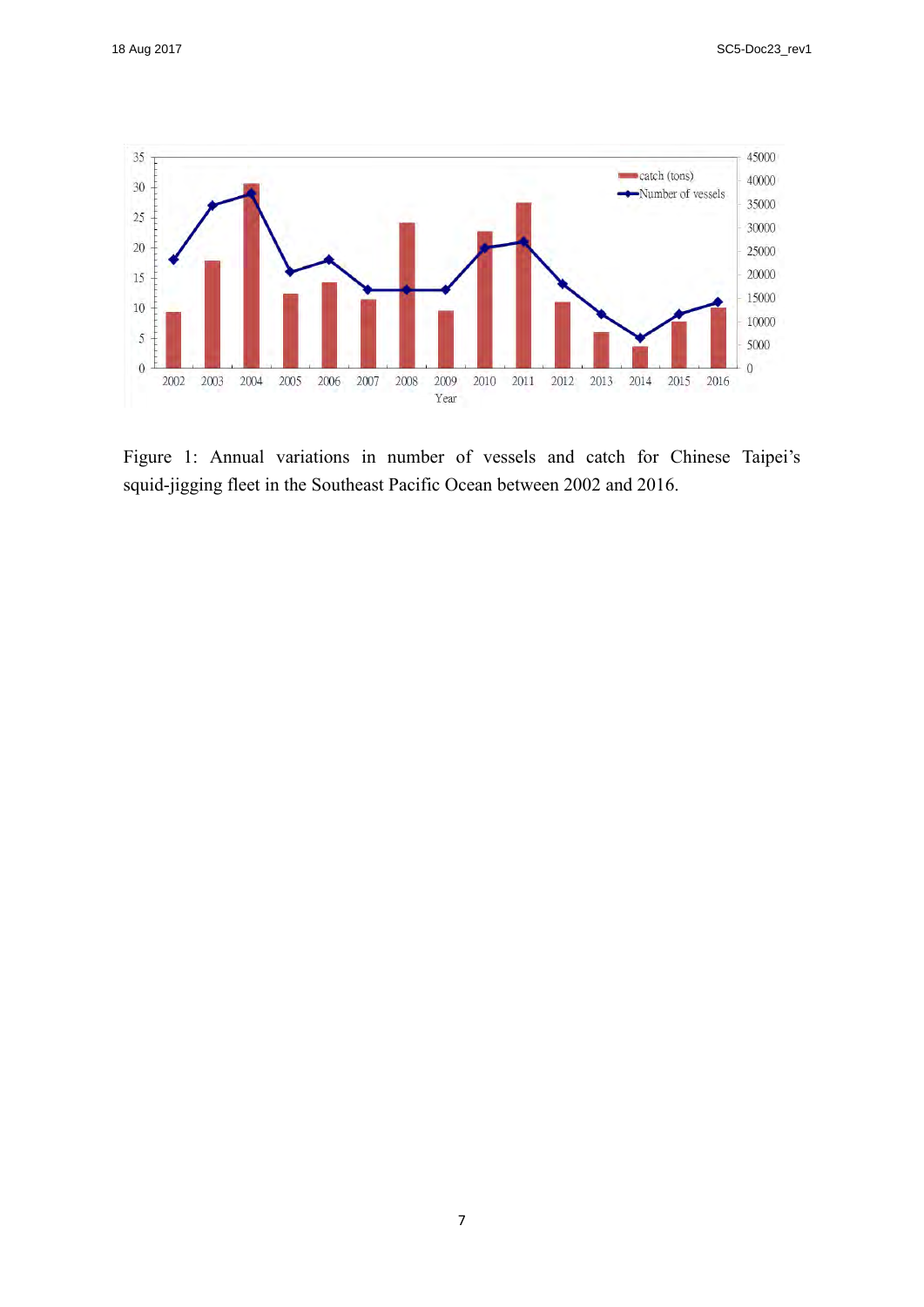

Figure 1: Annual variations in number of vessels and catch for Chinese Taipei's squid-jigging fleet in the Southeast Pacific Ocean between 2002 and 2016.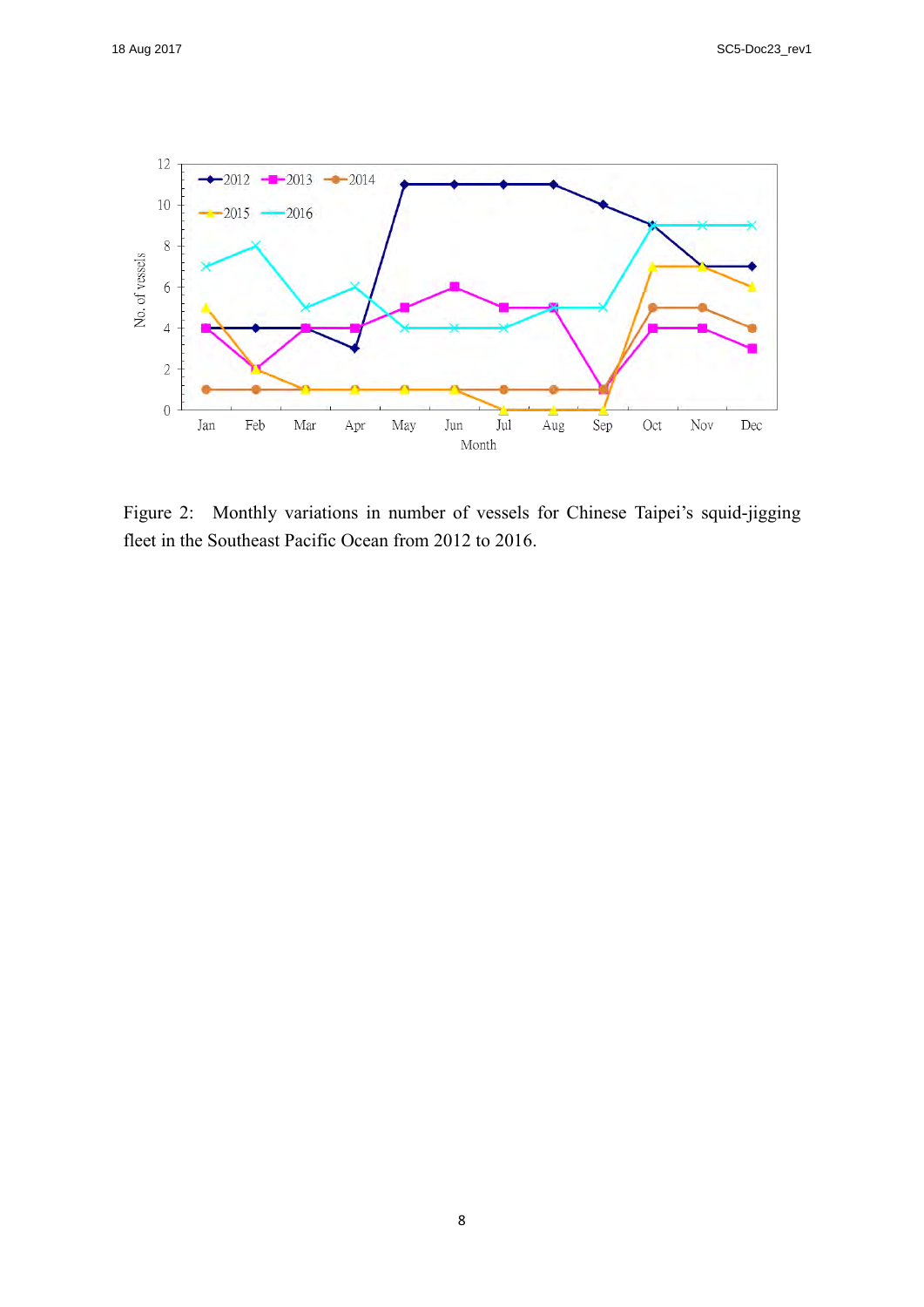

Figure 2: Monthly variations in number of vessels for Chinese Taipei's squid-jigging fleet in the Southeast Pacific Ocean from 2012 to 2016.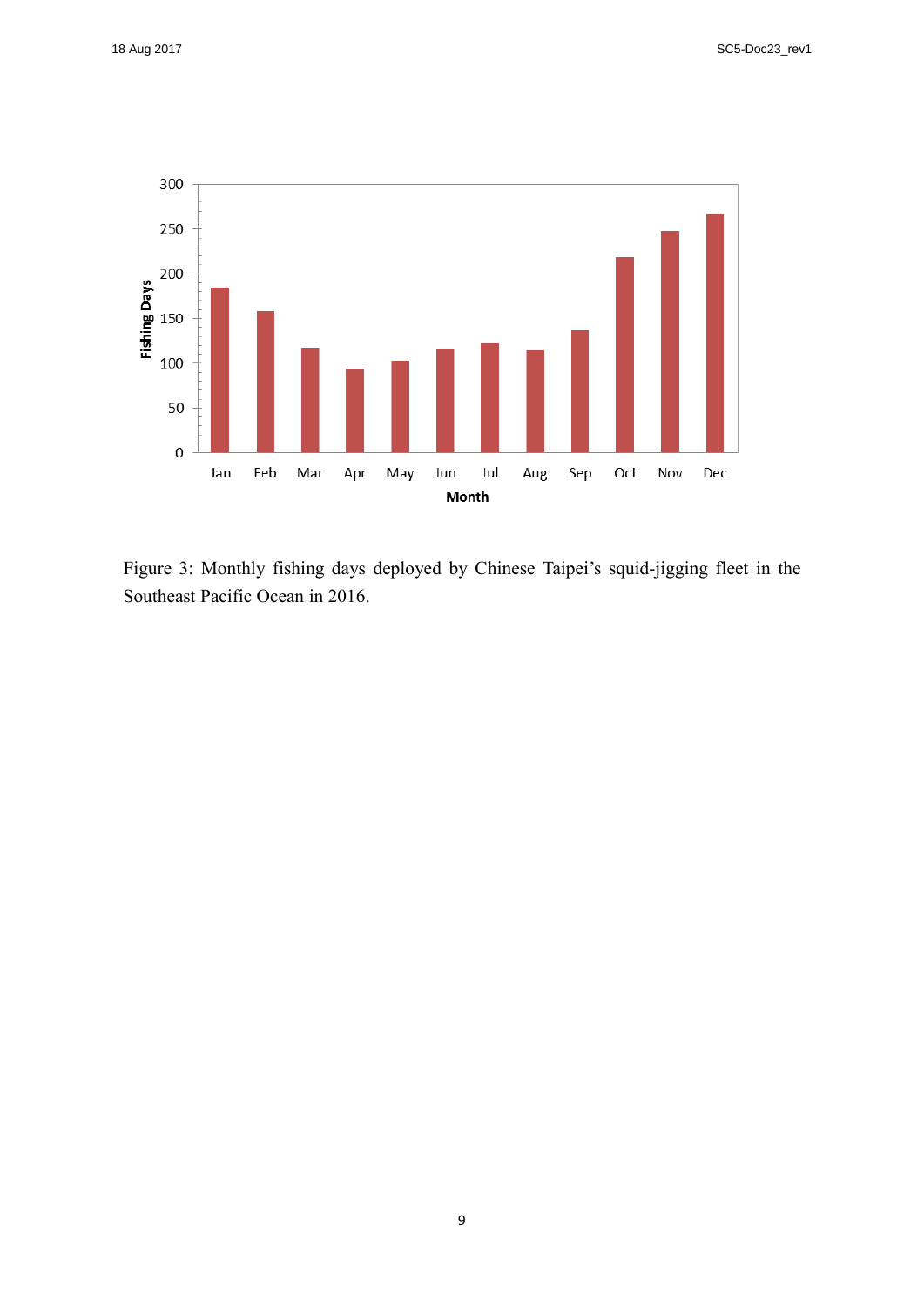

Figure 3: Monthly fishing days deployed by Chinese Taipei's squid-jigging fleet in the Southeast Pacific Ocean in 2016.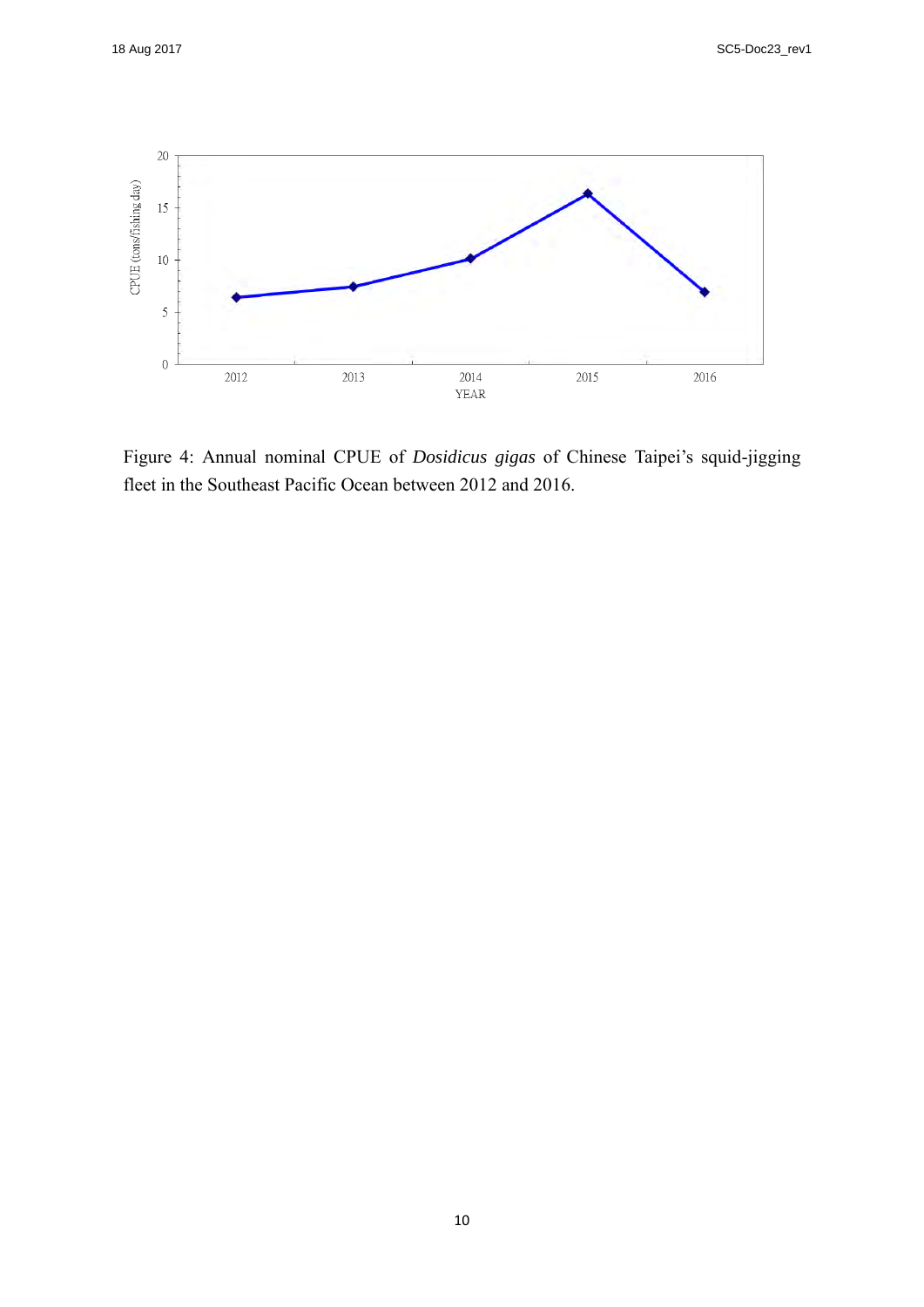

Figure 4: Annual nominal CPUE of *Dosidicus gigas* of Chinese Taipei's squid-jigging fleet in the Southeast Pacific Ocean between 2012 and 2016.